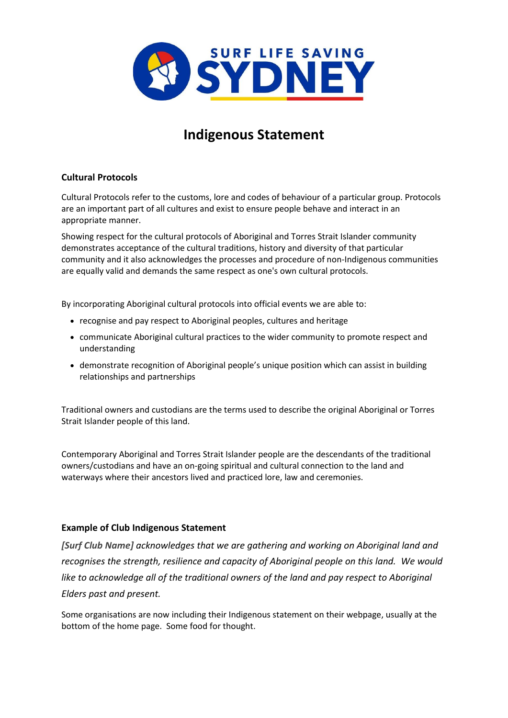

# **Indigenous Statement**

### **Cultural Protocols**

Cultural Protocols refer to the customs, lore and codes of behaviour of a particular group. Protocols are an important part of all cultures and exist to ensure people behave and interact in an appropriate manner.

Showing respect for the cultural protocols of Aboriginal and Torres Strait Islander community demonstrates acceptance of the cultural traditions, history and diversity of that particular community and it also acknowledges the processes and procedure of non-Indigenous communities are equally valid and demands the same respect as one's own cultural protocols.

By incorporating Aboriginal cultural protocols into official events we are able to:

- recognise and pay respect to Aboriginal peoples, cultures and heritage
- communicate Aboriginal cultural practices to the wider community to promote respect and understanding
- demonstrate recognition of Aboriginal people's unique position which can assist in building relationships and partnerships

Traditional owners and custodians are the terms used to describe the original Aboriginal or Torres Strait Islander people of this land.

Contemporary Aboriginal and Torres Strait Islander people are the descendants of the traditional owners/custodians and have an on-going spiritual and cultural connection to the land and waterways where their ancestors lived and practiced lore, law and ceremonies.

### **Example of Club Indigenous Statement**

*[Surf Club Name] acknowledges that we are gathering and working on Aboriginal land and recognises the strength, resilience and capacity of Aboriginal people on this land. We would*  like to acknowledge all of the traditional owners of the land and pay respect to Aboriginal *Elders past and present.*

Some organisations are now including their Indigenous statement on their webpage, usually at the bottom of the home page. Some food for thought.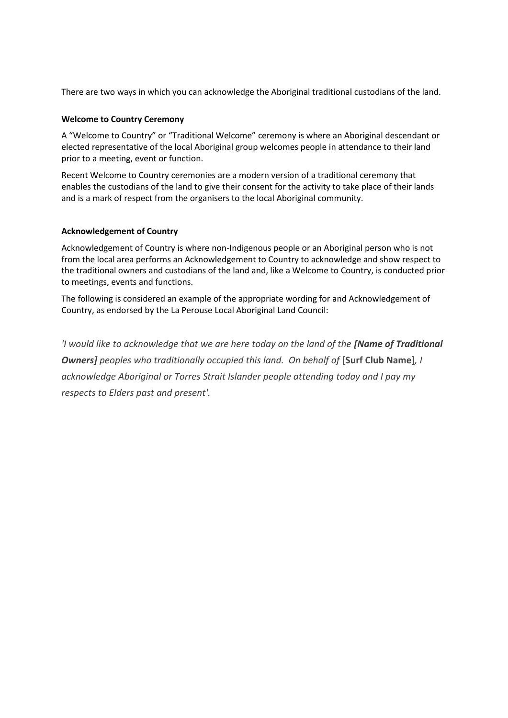There are two ways in which you can acknowledge the Aboriginal traditional custodians of the land.

#### **Welcome to Country Ceremony**

A "Welcome to Country" or "Traditional Welcome" ceremony is where an Aboriginal descendant or elected representative of the local Aboriginal group welcomes people in attendance to their land prior to a meeting, event or function.

Recent Welcome to Country ceremonies are a modern version of a traditional ceremony that enables the custodians of the land to give their consent for the activity to take place of their lands and is a mark of respect from the organisers to the local Aboriginal community.

### **Acknowledgement of Country**

Acknowledgement of Country is where non-Indigenous people or an Aboriginal person who is not from the local area performs an Acknowledgement to Country to acknowledge and show respect to the traditional owners and custodians of the land and, like a Welcome to Country, is conducted prior to meetings, events and functions.

The following is considered an example of the appropriate wording for and Acknowledgement of Country, as endorsed by the La Perouse Local Aboriginal Land Council:

*'I would like to acknowledge that we are here today on the land of the [Name of Traditional*  **Owners]** peoples who traditionally occupied this land. On behalf of [Surf Club Name], I *acknowledge Aboriginal or Torres Strait Islander people attending today and I pay my respects to Elders past and present'.*